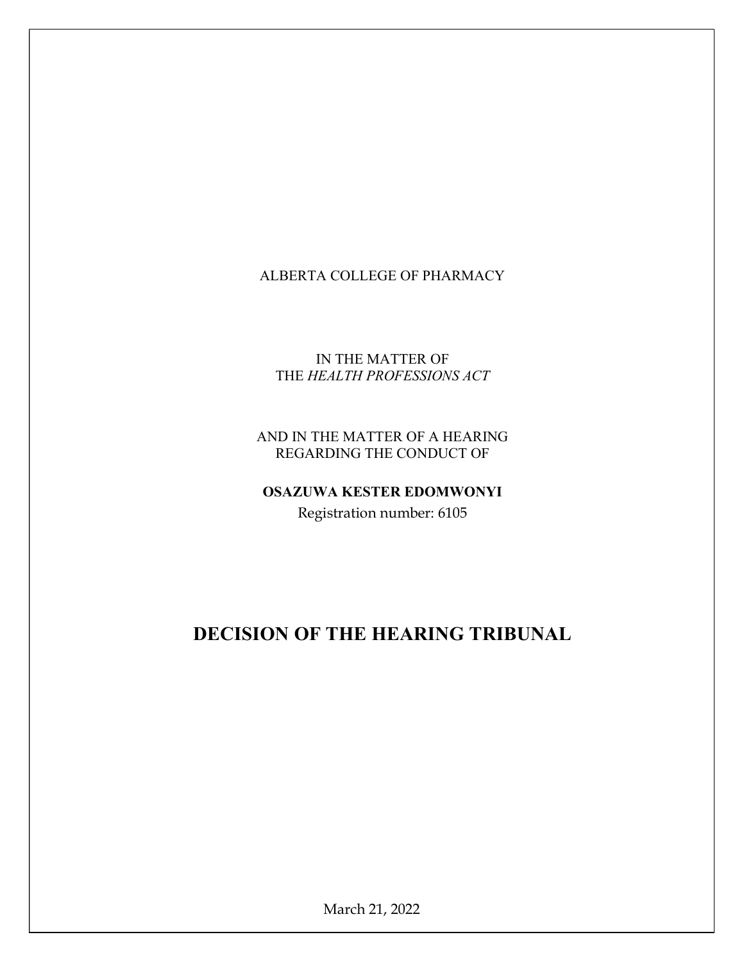## ALBERTA COLLEGE OF PHARMACY

#### IN THE MATTER OF THE HEALTH PROFESSIONS ACT

## AND IN THE MATTER OF A HEARING REGARDING THE CONDUCT OF

# OSAZUWA KESTER EDOMWONYI

Registration number: 6105

## DECISION OF THE HEARING TRIBUNAL

March 21, 2022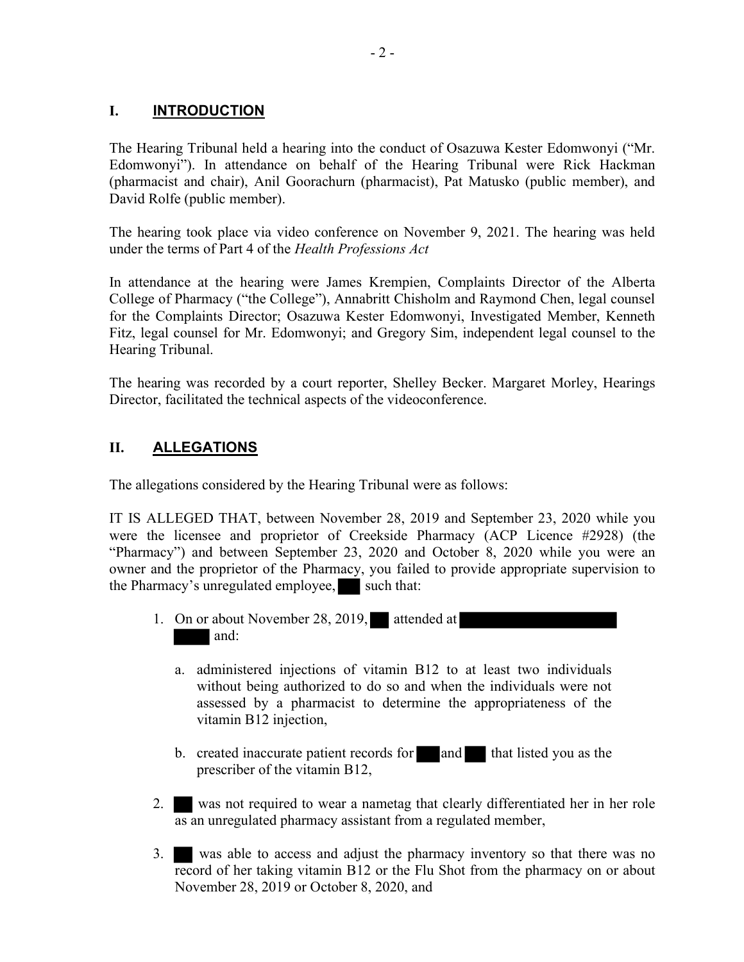### I. **INTRODUCTION**

The Hearing Tribunal held a hearing into the conduct of Osazuwa Kester Edomwonyi ("Mr. Edomwonyi"). In attendance on behalf of the Hearing Tribunal were Rick Hackman (pharmacist and chair), Anil Goorachurn (pharmacist), Pat Matusko (public member), and David Rolfe (public member).

The hearing took place via video conference on November 9, 2021. The hearing was held under the terms of Part 4 of the Health Professions Act

In attendance at the hearing were James Krempien, Complaints Director of the Alberta College of Pharmacy ("the College"), Annabritt Chisholm and Raymond Chen, legal counsel for the Complaints Director; Osazuwa Kester Edomwonyi, Investigated Member, Kenneth Fitz, legal counsel for Mr. Edomwonyi; and Gregory Sim, independent legal counsel to the Hearing Tribunal.

The hearing was recorded by a court reporter, Shelley Becker. Margaret Morley, Hearings Director, facilitated the technical aspects of the videoconference.

## II. ALLEGATIONS

The allegations considered by the Hearing Tribunal were as follows:

IT IS ALLEGED THAT, between November 28, 2019 and September 23, 2020 while you were the licensee and proprietor of Creekside Pharmacy (ACP Licence #2928) (the "Pharmacy") and between September 23, 2020 and October 8, 2020 while you were an owner and the proprietor of the Pharmacy, you failed to provide appropriate supervision to the Pharmacy's unregulated employee, such that:

- 1. On or about November 28, 2019, attended at and:
	- a. administered injections of vitamin B12 to at least two individuals without being authorized to do so and when the individuals were not assessed by a pharmacist to determine the appropriateness of the vitamin B12 injection,
	- b. created inaccurate patient records for and that listed you as the prescriber of the vitamin B12,
- 2. was not required to wear a nametag that clearly differentiated her in her role as an unregulated pharmacy assistant from a regulated member,
- 3. was able to access and adjust the pharmacy inventory so that there was no record of her taking vitamin B12 or the Flu Shot from the pharmacy on or about November 28, 2019 or October 8, 2020, and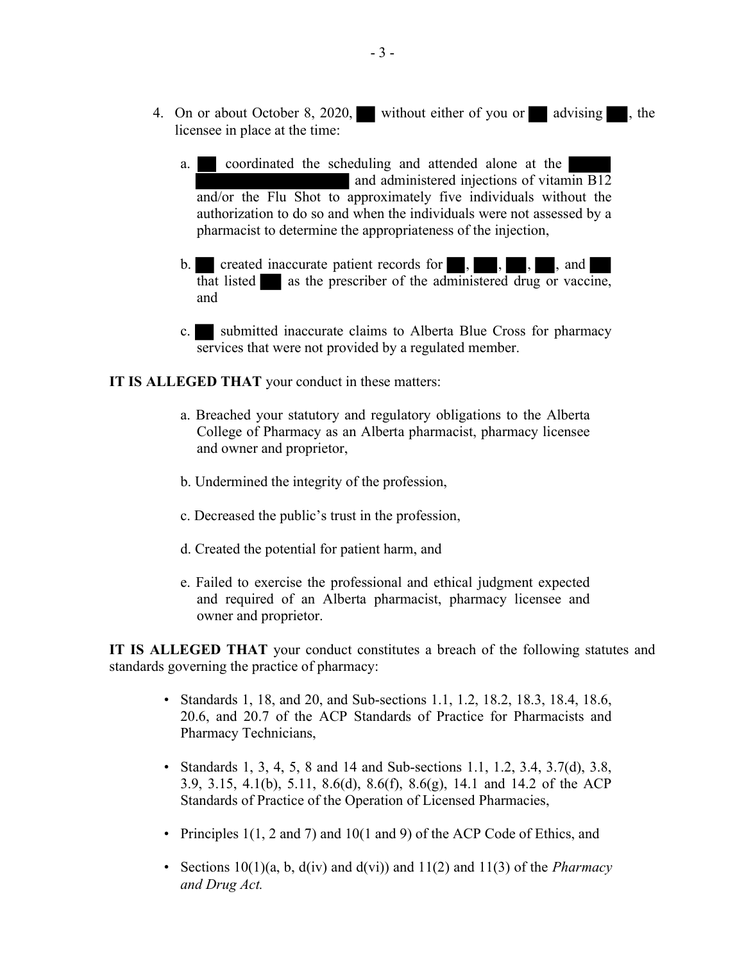- 4. On or about October 8, 2020, without either of you or advising , the licensee in place at the time:
	- a. coordinated the scheduling and attended alone at the and administered injections of vitamin B12 and/or the Flu Shot to approximately five individuals without the authorization to do so and when the individuals were not assessed by a pharmacist to determine the appropriateness of the injection,
	- b. created inaccurate patient records for , , , , and  $\overline{\text{that}}$  listed as the prescriber of the administered drug or vaccine, and
	- c. submitted inaccurate claims to Alberta Blue Cross for pharmacy services that were not provided by a regulated member.

#### IT IS ALLEGED THAT your conduct in these matters:

- a. Breached your statutory and regulatory obligations to the Alberta College of Pharmacy as an Alberta pharmacist, pharmacy licensee and owner and proprietor,
- b. Undermined the integrity of the profession,
- c. Decreased the public's trust in the profession,
- d. Created the potential for patient harm, and
- e. Failed to exercise the professional and ethical judgment expected and required of an Alberta pharmacist, pharmacy licensee and owner and proprietor.

IT IS ALLEGED THAT your conduct constitutes a breach of the following statutes and standards governing the practice of pharmacy:

- Standards 1, 18, and 20, and Sub-sections 1.1, 1.2, 18.2, 18.3, 18.4, 18.6, 20.6, and 20.7 of the ACP Standards of Practice for Pharmacists and Pharmacy Technicians,
- Standards 1, 3, 4, 5, 8 and 14 and Sub-sections 1.1, 1.2, 3.4, 3.7(d), 3.8, 3.9, 3.15, 4.1(b), 5.11, 8.6(d), 8.6(f), 8.6(g), 14.1 and 14.2 of the ACP Standards of Practice of the Operation of Licensed Pharmacies,
- Principles 1(1, 2 and 7) and 10(1 and 9) of the ACP Code of Ethics, and
- Sections  $10(1)(a, b, d(iv)$  and  $d(vi)$  and  $11(2)$  and  $11(3)$  of the *Pharmacy* and Drug Act.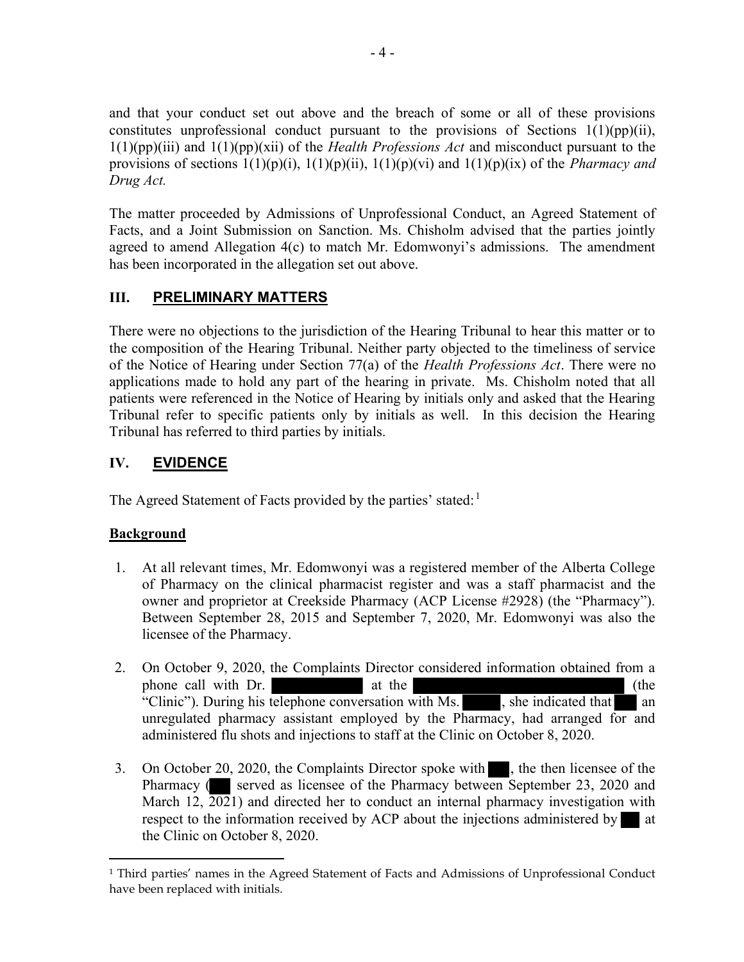and that your conduct set out above and the breach of some or all of these provisions constitutes unprofessional conduct pursuant to the provisions of Sections 1(1)(pp)(ii),  $1(1)(pp)(iii)$  and  $1(1)(pp)(xii)$  of the *Health Professions Act* and misconduct pursuant to the provisions of sections  $1(1)(p)(i)$ ,  $1(1)(p)(ii)$ ,  $1(1)(p)(vi)$  and  $1(1)(p)(ix)$  of the *Pharmacy and* Drug Act.

The matter proceeded by Admissions of Unprofessional Conduct, an Agreed Statement of Facts, and a Joint Submission on Sanction. Ms. Chisholm advised that the parties jointly agreed to amend Allegation 4(c) to match Mr. Edomwonyi's admissions. The amendment has been incorporated in the allegation set out above.

## III. PRELIMINARY MATTERS

There were no objections to the jurisdiction of the Hearing Tribunal to hear this matter or to the composition of the Hearing Tribunal. Neither party objected to the timeliness of service of the Notice of Hearing under Section 77(a) of the *Health Professions Act*. There were no applications made to hold any part of the hearing in private. Ms. Chisholm noted that all patients were referenced in the Notice of Hearing by initials only and asked that the Hearing Tribunal refer to specific patients only by initials as well. In this decision the Hearing Tribunal has referred to third parties by initials.

## IV. EVIDENCE

The Agreed Statement of Facts provided by the parties' stated:  $1$ 

## **Background**

- 1. At all relevant times, Mr. Edomwonyi was a registered member of the Alberta College of Pharmacy on the clinical pharmacist register and was a staff pharmacist and the owner and proprietor at Creekside Pharmacy (ACP License #2928) (the "Pharmacy"). Between September 28, 2015 and September 7, 2020, Mr. Edomwonyi was also the licensee of the Pharmacy.
- 2. On October 9, 2020, the Complaints Director considered information obtained from a phone call with Dr. at the (the call with Dr.  $\alpha$ "Clinic"). During his telephone conversation with Ms. , she indicated that an unregulated pharmacy assistant employed by the Pharmacy, had arranged for and administered flu shots and injections to staff at the Clinic on October 8, 2020.
- 3. On October 20, 2020, the Complaints Director spoke with , the then licensee of the Pharmacy (Served as licensee of the Pharmacy between September 23, 2020 and March 12, 2021) and directed her to conduct an internal pharmacy investigation with respect to the information received by ACP about the injections administered by  $\blacksquare$  at the Clinic on October 8, 2020.

<sup>1</sup> Third parties' names in the Agreed Statement of Facts and Admissions of Unprofessional Conduct have been replaced with initials.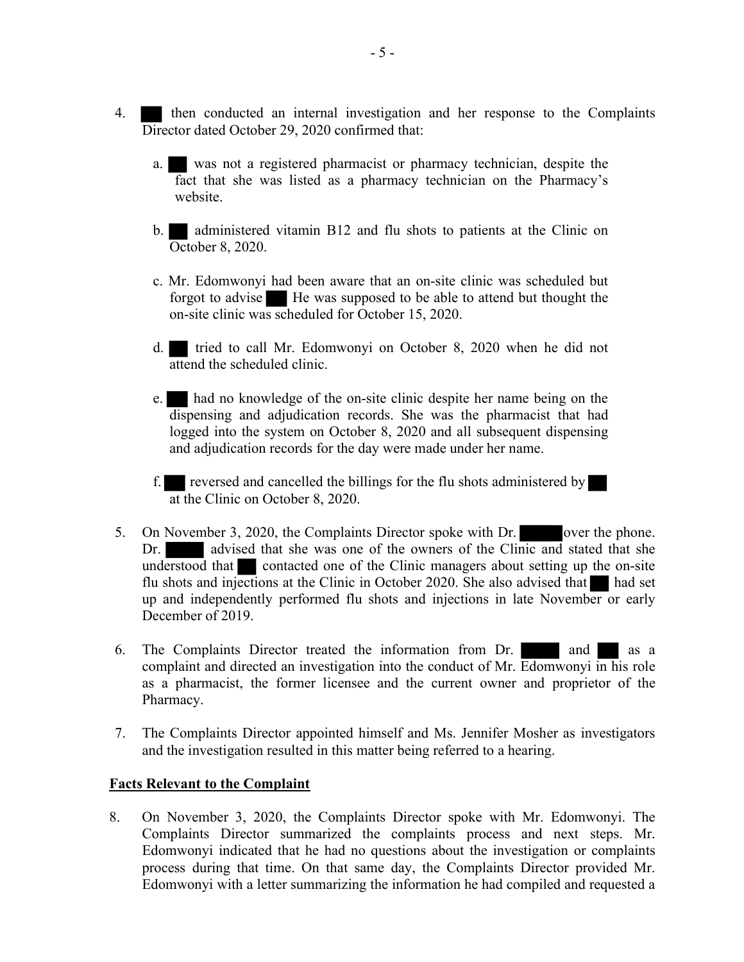- 4. then conducted an internal investigation and her response to the Complaints Director dated October 29, 2020 confirmed that:
	- a. was not a registered pharmacist or pharmacy technician, despite the fact that she was listed as a pharmacy technician on the Pharmacy's website.
	- b. administered vitamin B12 and flu shots to patients at the Clinic on October 8, 2020.
	- c. Mr. Edomwonyi had been aware that an on-site clinic was scheduled but forgot to advise He was supposed to be able to attend but thought the on-site clinic was scheduled for October 15, 2020.
	- d. tried to call Mr. Edomwonyi on October 8, 2020 when he did not attend the scheduled clinic.
	- e. had no knowledge of the on-site clinic despite her name being on the dispensing and adjudication records. She was the pharmacist that had logged into the system on October 8, 2020 and all subsequent dispensing and adjudication records for the day were made under her name.
	- f. reversed and cancelled the billings for the flu shots administered by at the Clinic on October 8, 2020.
- 5. On November 3, 2020, the Complaints Director spoke with Dr. over the phone. Dr. advised that she was one of the owners of the Clinic and stated that she understood that contacted one of the Clinic managers about setting up the on-site flu shots and injections at the Clinic in October 2020. She also advised that  $\blacksquare$  had set up and independently performed flu shots and injections in late November or early December of 2019.
- 6. The Complaints Director treated the information from Dr. and as a complaint and directed an investigation into the conduct of Mr. Edomwonyi in his role as a pharmacist, the former licensee and the current owner and proprietor of the Pharmacy.
- 7. The Complaints Director appointed himself and Ms. Jennifer Mosher as investigators and the investigation resulted in this matter being referred to a hearing.

#### Facts Relevant to the Complaint

8. On November 3, 2020, the Complaints Director spoke with Mr. Edomwonyi. The Complaints Director summarized the complaints process and next steps. Mr. Edomwonyi indicated that he had no questions about the investigation or complaints process during that time. On that same day, the Complaints Director provided Mr. Edomwonyi with a letter summarizing the information he had compiled and requested a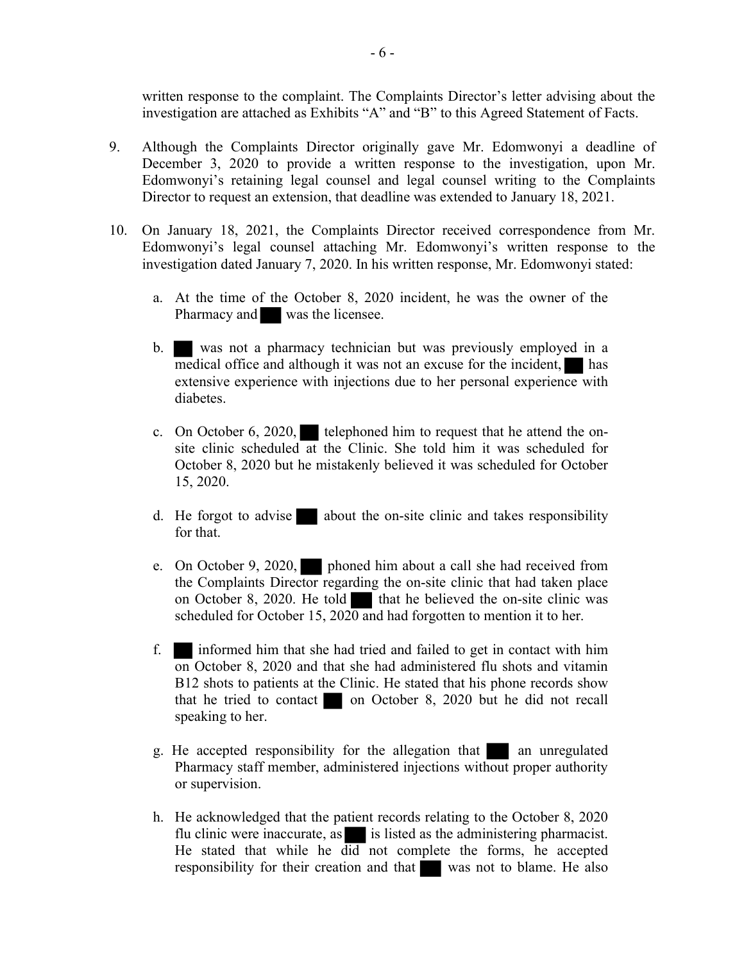written response to the complaint. The Complaints Director's letter advising about the investigation are attached as Exhibits "A" and "B" to this Agreed Statement of Facts.

- 9. Although the Complaints Director originally gave Mr. Edomwonyi a deadline of December 3, 2020 to provide a written response to the investigation, upon Mr. Edomwonyi's retaining legal counsel and legal counsel writing to the Complaints Director to request an extension, that deadline was extended to January 18, 2021.
- 10. On January 18, 2021, the Complaints Director received correspondence from Mr. Edomwonyi's legal counsel attaching Mr. Edomwonyi's written response to the investigation dated January 7, 2020. In his written response, Mr. Edomwonyi stated:
	- a. At the time of the October 8, 2020 incident, he was the owner of the Pharmacy and was the licensee.
	- b. was not a pharmacy technician but was previously employed in a medical office and although it was not an excuse for the incident, has extensive experience with injections due to her personal experience with diabetes.
	- c. On October 6, 2020, telephoned him to request that he attend the onsite clinic scheduled at the Clinic. She told him it was scheduled for October 8, 2020 but he mistakenly believed it was scheduled for October 15, 2020.
	- d. He forgot to advise about the on-site clinic and takes responsibility for that.
	- e. On October 9, 2020, phoned him about a call she had received from the Complaints Director regarding the on-site clinic that had taken place on October 8, 2020. He told that he believed the on-site clinic was scheduled for October 15,  $2020$  and had forgotten to mention it to her.
	- f. informed him that she had tried and failed to get in contact with him on October 8, 2020 and that she had administered flu shots and vitamin B12 shots to patients at the Clinic. He stated that his phone records show that he tried to contact on October 8, 2020 but he did not recall speaking to her.
	- g. He accepted responsibility for the allegation that an unregulated Pharmacy staff member, administered injections without proper authority or supervision.
	- h. He acknowledged that the patient records relating to the October 8, 2020 flu clinic were inaccurate, as  $\blacksquare$  is listed as the administering pharmacist. He stated that while he did not complete the forms, he accepted responsibility for their creation and that was not to blame. He also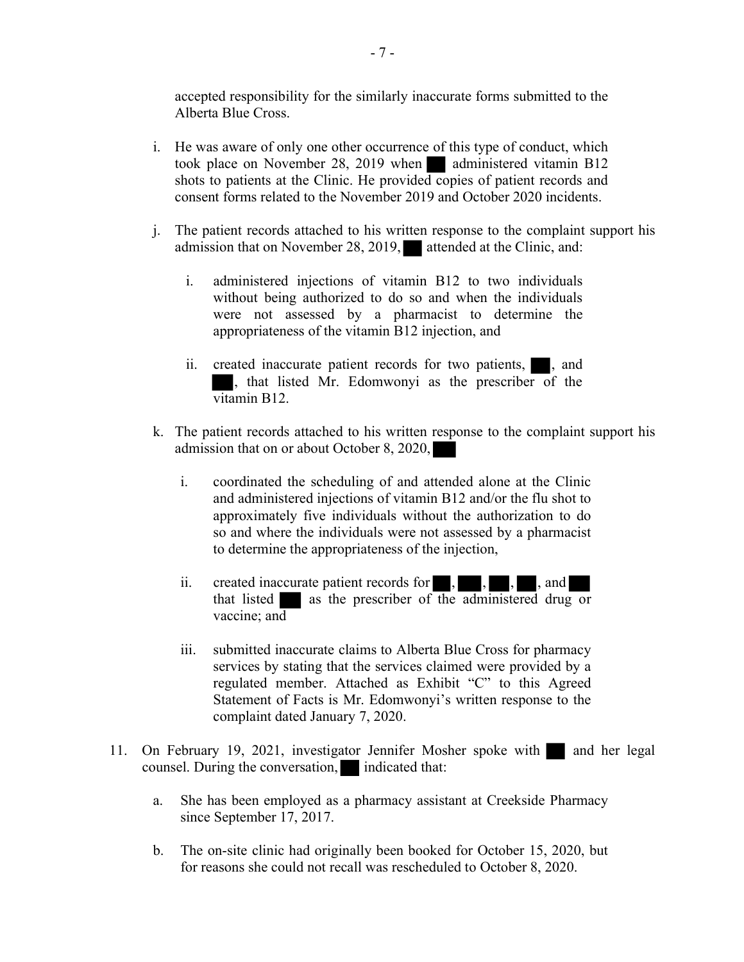accepted responsibility for the similarly inaccurate forms submitted to the Alberta Blue Cross.

- i. He was aware of only one other occurrence of this type of conduct, which took place on November 28, 2019 when administered vitamin B12 shots to patients at the Clinic. He provided copies of patient records and consent forms related to the November 2019 and October 2020 incidents.
- j. The patient records attached to his written response to the complaint support his admission that on November 28, 2019, attended at the Clinic, and:
	- i. administered injections of vitamin B12 to two individuals without being authorized to do so and when the individuals were not assessed by a pharmacist to determine the appropriateness of the vitamin B12 injection, and
	- ii. created inaccurate patient records for two patients,  $\blacksquare$ , and , that listed Mr. Edomwonyi as the prescriber of the vitamin B12.
- k. The patient records attached to his written response to the complaint support his admission that on or about October 8, 2020,
	- i. coordinated the scheduling of and attended alone at the Clinic and administered injections of vitamin B12 and/or the flu shot to approximately five individuals without the authorization to do so and where the individuals were not assessed by a pharmacist to determine the appropriateness of the injection,
	- ii. created inaccurate patient records for  $\,$ , , , , and that listed as the prescriber of the administered drug or vaccine; and
	- iii. submitted inaccurate claims to Alberta Blue Cross for pharmacy services by stating that the services claimed were provided by a regulated member. Attached as Exhibit "C" to this Agreed Statement of Facts is Mr. Edomwonyi's written response to the complaint dated January 7, 2020.
- 11. On February 19, 2021, investigator Jennifer Mosher spoke with and her legal counsel. During the conversation, indicated that:
	- a. She has been employed as a pharmacy assistant at Creekside Pharmacy since September 17, 2017.
	- b. The on-site clinic had originally been booked for October 15, 2020, but for reasons she could not recall was rescheduled to October 8, 2020.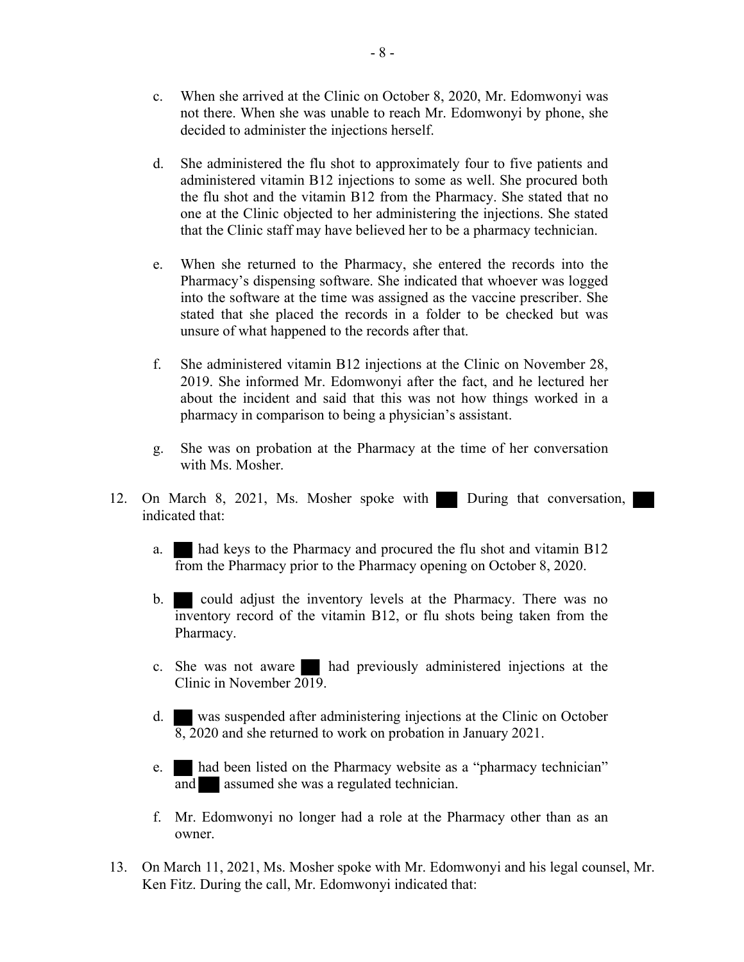- c. When she arrived at the Clinic on October 8, 2020, Mr. Edomwonyi was not there. When she was unable to reach Mr. Edomwonyi by phone, she decided to administer the injections herself.
- d. She administered the flu shot to approximately four to five patients and administered vitamin B12 injections to some as well. She procured both the flu shot and the vitamin B12 from the Pharmacy. She stated that no one at the Clinic objected to her administering the injections. She stated that the Clinic staff may have believed her to be a pharmacy technician.
- e. When she returned to the Pharmacy, she entered the records into the Pharmacy's dispensing software. She indicated that whoever was logged into the software at the time was assigned as the vaccine prescriber. She stated that she placed the records in a folder to be checked but was unsure of what happened to the records after that.
- f. She administered vitamin B12 injections at the Clinic on November 28, 2019. She informed Mr. Edomwonyi after the fact, and he lectured her about the incident and said that this was not how things worked in a pharmacy in comparison to being a physician's assistant.
- g. She was on probation at the Pharmacy at the time of her conversation with Ms. Mosher.
- 12. On March 8, 2021, Ms. Mosher spoke with During that conversation, indicated that:
	- a. had keys to the Pharmacy and procured the flu shot and vitamin B12 from the Pharmacy prior to the Pharmacy opening on October 8, 2020.
	- b. could adjust the inventory levels at the Pharmacy. There was no inventory record of the vitamin B12, or flu shots being taken from the Pharmacy.
	- c. She was not aware had previously administered injections at the Clinic in November 2019.
	- d. was suspended after administering injections at the Clinic on October 8, 2020 and she returned to work on probation in January 2021.
	- e. had been listed on the Pharmacy website as a "pharmacy technician" and assumed she was a regulated technician.
	- f. Mr. Edomwonyi no longer had a role at the Pharmacy other than as an owner.
- 13. On March 11, 2021, Ms. Mosher spoke with Mr. Edomwonyi and his legal counsel, Mr. Ken Fitz. During the call, Mr. Edomwonyi indicated that: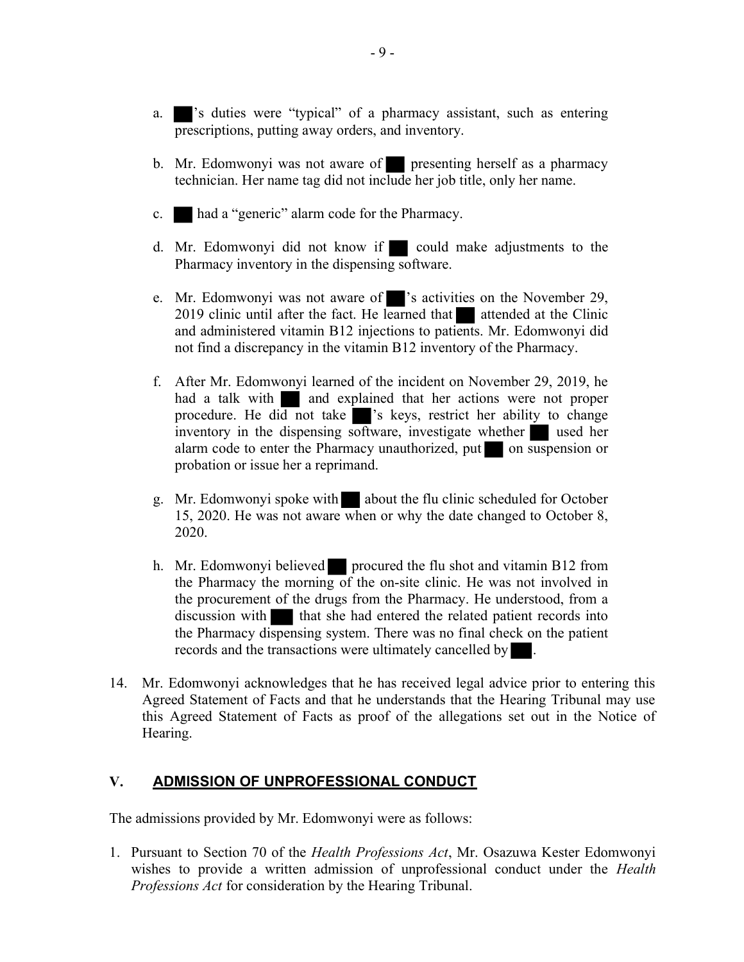- a.  $\blacksquare$ 's duties were "typical" of a pharmacy assistant, such as entering prescriptions, putting away orders, and inventory.
- b. Mr. Edomwonyi was not aware of presenting herself as a pharmacy technician. Her name tag did not include her job title, only her name.
- c. had a "generic" alarm code for the Pharmacy.
- d. Mr. Edomwonyi did not know if could make adjustments to the Pharmacy inventory in the dispensing software.
- e. Mr. Edomwonyi was not aware of 's activities on the November 29, 2019 clinic until after the fact. He learned that attended at the Clinic and administered vitamin B12 injections to patients. Mr. Edomwonyi did not find a discrepancy in the vitamin B12 inventory of the Pharmacy.
- f. After Mr. Edomwonyi learned of the incident on November 29, 2019, he had a talk with  $\Box$  and explained that her actions were not proper procedure. He did not take since is keys, restrict her ability to change inventory in the dispensing software, investigate whether used her alarm code to enter the Pharmacy unauthorized, put on suspension or probation or issue her a reprimand.
- g. Mr. Edomwonyi spoke with about the flu clinic scheduled for October 15, 2020. He was not aware when or why the date changed to October 8, 2020.
- h. Mr. Edomwonyi believed procured the flu shot and vitamin B12 from the Pharmacy the morning of the on-site clinic. He was not involved in the procurement of the drugs from the Pharmacy. He understood, from a discussion with that she had entered the related patient records into the Pharmacy dispensing system. There was no final check on the patient records and the transactions were ultimately cancelled by
- 14. Mr. Edomwonyi acknowledges that he has received legal advice prior to entering this Agreed Statement of Facts and that he understands that the Hearing Tribunal may use this Agreed Statement of Facts as proof of the allegations set out in the Notice of Hearing.

#### V. ADMISSION OF UNPROFESSIONAL CONDUCT

The admissions provided by Mr. Edomwonyi were as follows:

1. Pursuant to Section 70 of the Health Professions Act, Mr. Osazuwa Kester Edomwonyi wishes to provide a written admission of unprofessional conduct under the *Health* Professions Act for consideration by the Hearing Tribunal.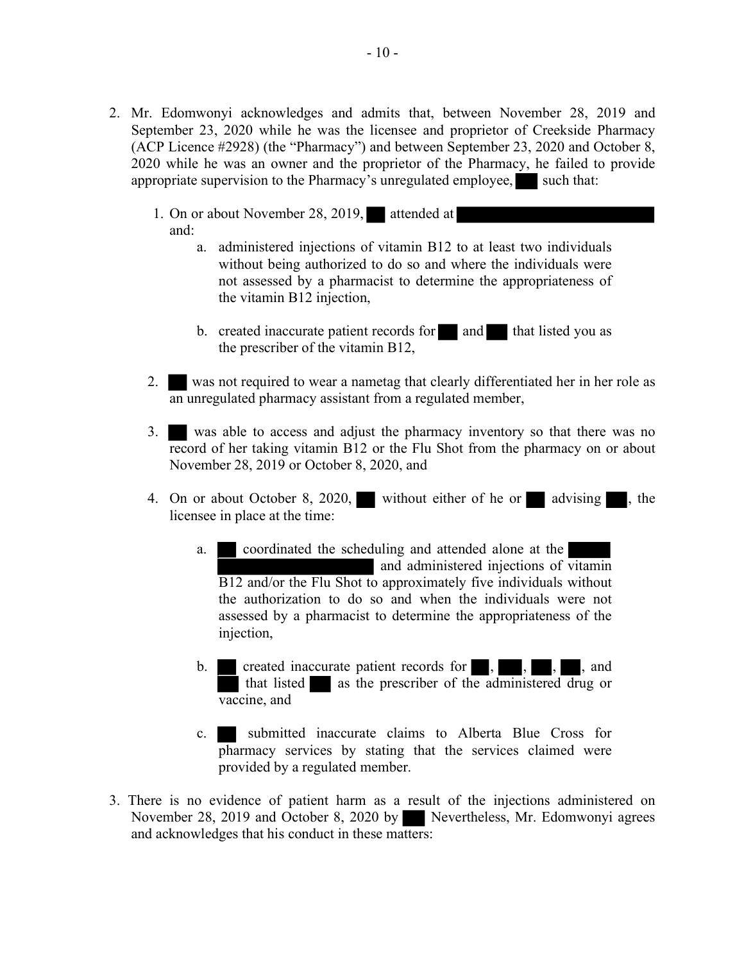- 2. Mr. Edomwonyi acknowledges and admits that, between November 28, 2019 and September 23, 2020 while he was the licensee and proprietor of Creekside Pharmacy (ACP Licence #2928) (the "Pharmacy") and between September 23, 2020 and October 8, 2020 while he was an owner and the proprietor of the Pharmacy, he failed to provide appropriate supervision to the Pharmacy's unregulated employee, such that:
	- 1. On or about November 28, 2019, attended at and:
		- a. administered injections of vitamin B12 to at least two individuals without being authorized to do so and where the individuals were not assessed by a pharmacist to determine the appropriateness of the vitamin B12 injection,
		- b. created inaccurate patient records for and that listed you as the prescriber of the vitamin B12,
	- 2. was not required to wear a nametag that clearly differentiated her in her role as an unregulated pharmacy assistant from a regulated member,
	- 3. was able to access and adjust the pharmacy inventory so that there was no record of her taking vitamin B12 or the Flu Shot from the pharmacy on or about November 28, 2019 or October 8, 2020, and
	- 4. On or about October 8, 2020, without either of he or advising , the licensee in place at the time:
		- a. coordinated the scheduling and attended alone at the and administered injections of vitamin B12 and/or the Flu Shot to approximately five individuals without the authorization to do so and when the individuals were not assessed by a pharmacist to determine the appropriateness of the injection,
		- b. created inaccurate patient records for , , , , and that listed as the prescriber of the administered drug or vaccine, and
		- c. submitted inaccurate claims to Alberta Blue Cross for pharmacy services by stating that the services claimed were provided by a regulated member.
- 3. There is no evidence of patient harm as a result of the injections administered on November 28, 2019 and October 8, 2020 by Nevertheless, Mr. Edomwonyi agrees and acknowledges that his conduct in these matters: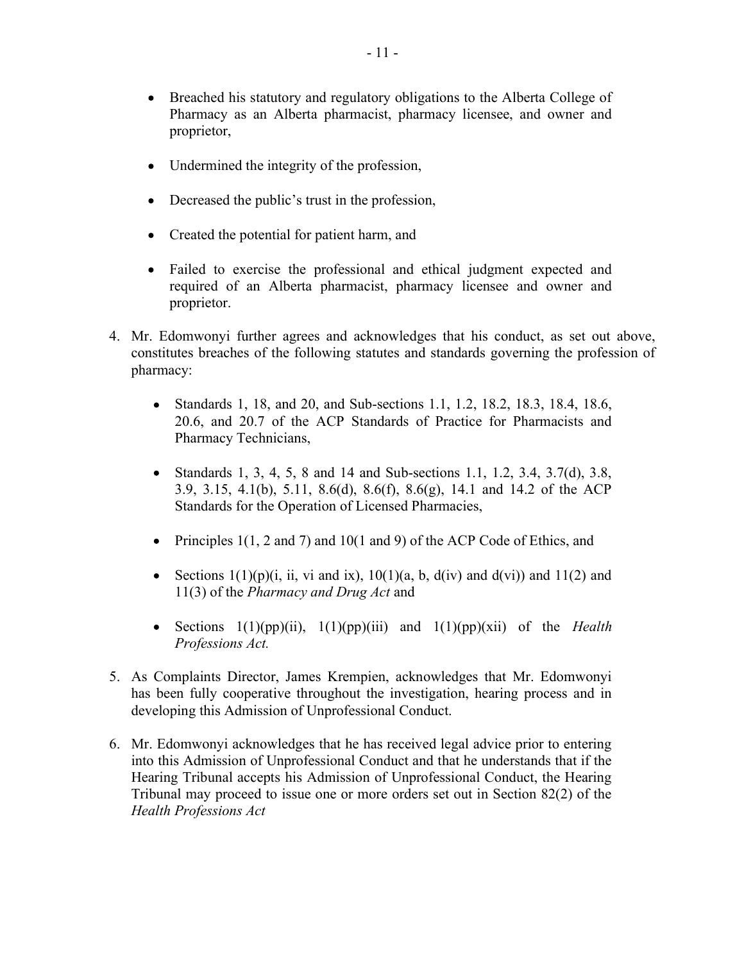- Breached his statutory and regulatory obligations to the Alberta College of Pharmacy as an Alberta pharmacist, pharmacy licensee, and owner and proprietor,
- Undermined the integrity of the profession,
- Decreased the public's trust in the profession,
- Created the potential for patient harm, and
- Failed to exercise the professional and ethical judgment expected and required of an Alberta pharmacist, pharmacy licensee and owner and proprietor.
- 4. Mr. Edomwonyi further agrees and acknowledges that his conduct, as set out above, constitutes breaches of the following statutes and standards governing the profession of pharmacy:
	- Standards 1, 18, and 20, and Sub-sections 1.1, 1.2, 18.2, 18.3, 18.4, 18.6, 20.6, and 20.7 of the ACP Standards of Practice for Pharmacists and Pharmacy Technicians,
	- $\bullet$ Standards 1, 3, 4, 5, 8 and 14 and Sub-sections 1.1, 1.2, 3.4, 3.7(d), 3.8, 3.9, 3.15, 4.1(b), 5.11, 8.6(d), 8.6(f), 8.6(g), 14.1 and 14.2 of the ACP Standards for the Operation of Licensed Pharmacies,
	- Principles 1(1, 2 and 7) and 10(1 and 9) of the ACP Code of Ethics, and  $\bullet$
	- $\bullet$ Sections  $1(1)(p)(i, ii, vi and ix), 10(1)(a, b, d(iv) and d(vi))$  and  $11(2)$  and 11(3) of the Pharmacy and Drug Act and
	- Sections  $1(1)(pp)(ii)$ ,  $1(1)(pp)(iii)$  and  $1(1)(pp)(xii)$  of the *Health*  $\bullet$ Professions Act.
- 5. As Complaints Director, James Krempien, acknowledges that Mr. Edomwonyi has been fully cooperative throughout the investigation, hearing process and in developing this Admission of Unprofessional Conduct.
- 6. Mr. Edomwonyi acknowledges that he has received legal advice prior to entering into this Admission of Unprofessional Conduct and that he understands that if the Hearing Tribunal accepts his Admission of Unprofessional Conduct, the Hearing Tribunal may proceed to issue one or more orders set out in Section 82(2) of the Health Professions Act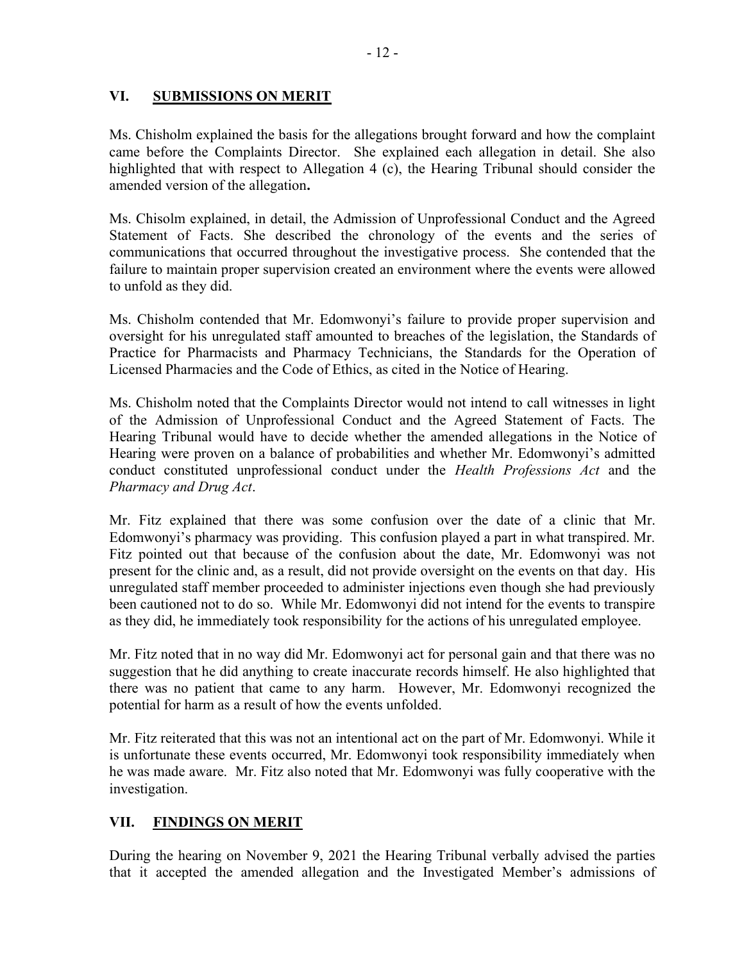### VI. SUBMISSIONS ON MERIT

Ms. Chisholm explained the basis for the allegations brought forward and how the complaint came before the Complaints Director. She explained each allegation in detail. She also highlighted that with respect to Allegation 4 (c), the Hearing Tribunal should consider the amended version of the allegation.

Ms. Chisolm explained, in detail, the Admission of Unprofessional Conduct and the Agreed Statement of Facts. She described the chronology of the events and the series of communications that occurred throughout the investigative process. She contended that the failure to maintain proper supervision created an environment where the events were allowed to unfold as they did.

Ms. Chisholm contended that Mr. Edomwonyi's failure to provide proper supervision and oversight for his unregulated staff amounted to breaches of the legislation, the Standards of Practice for Pharmacists and Pharmacy Technicians, the Standards for the Operation of Licensed Pharmacies and the Code of Ethics, as cited in the Notice of Hearing.

Ms. Chisholm noted that the Complaints Director would not intend to call witnesses in light of the Admission of Unprofessional Conduct and the Agreed Statement of Facts. The Hearing Tribunal would have to decide whether the amended allegations in the Notice of Hearing were proven on a balance of probabilities and whether Mr. Edomwonyi's admitted conduct constituted unprofessional conduct under the Health Professions Act and the Pharmacy and Drug Act.

Mr. Fitz explained that there was some confusion over the date of a clinic that Mr. Edomwonyi's pharmacy was providing. This confusion played a part in what transpired. Mr. Fitz pointed out that because of the confusion about the date, Mr. Edomwonyi was not present for the clinic and, as a result, did not provide oversight on the events on that day. His unregulated staff member proceeded to administer injections even though she had previously been cautioned not to do so. While Mr. Edomwonyi did not intend for the events to transpire as they did, he immediately took responsibility for the actions of his unregulated employee.

Mr. Fitz noted that in no way did Mr. Edomwonyi act for personal gain and that there was no suggestion that he did anything to create inaccurate records himself. He also highlighted that there was no patient that came to any harm. However, Mr. Edomwonyi recognized the potential for harm as a result of how the events unfolded.

Mr. Fitz reiterated that this was not an intentional act on the part of Mr. Edomwonyi. While it is unfortunate these events occurred, Mr. Edomwonyi took responsibility immediately when he was made aware. Mr. Fitz also noted that Mr. Edomwonyi was fully cooperative with the investigation.

## VII. FINDINGS ON MERIT

During the hearing on November 9, 2021 the Hearing Tribunal verbally advised the parties that it accepted the amended allegation and the Investigated Member's admissions of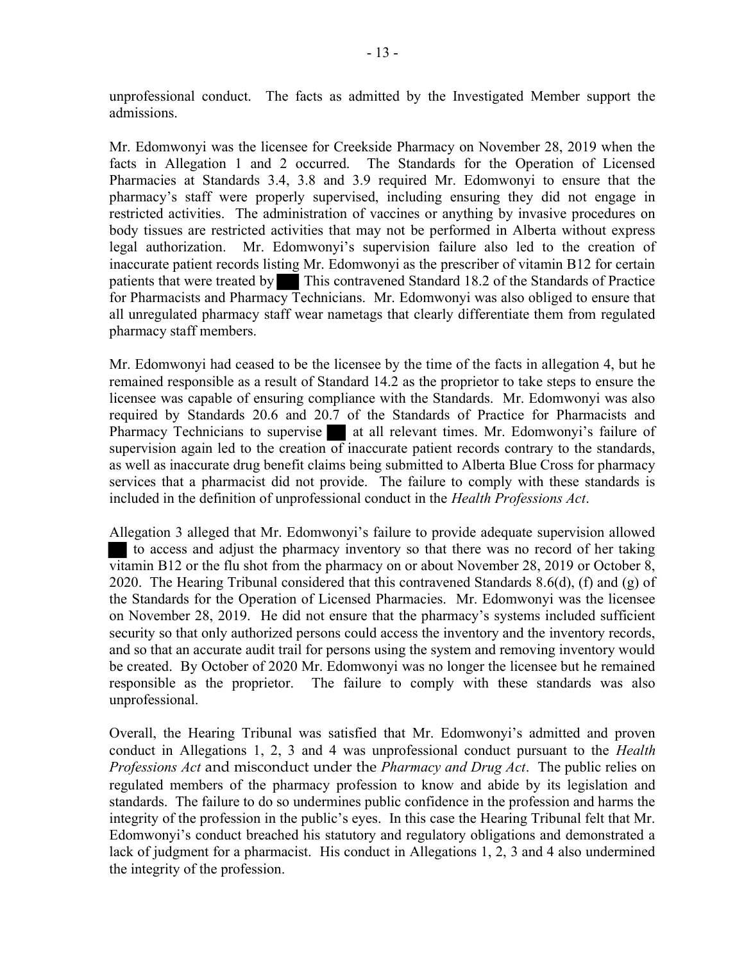unprofessional conduct. The facts as admitted by the Investigated Member support the admissions.

Mr. Edomwonyi was the licensee for Creekside Pharmacy on November 28, 2019 when the facts in Allegation 1 and 2 occurred. The Standards for the Operation of Licensed Pharmacies at Standards 3.4, 3.8 and 3.9 required Mr. Edomwonyi to ensure that the pharmacy's staff were properly supervised, including ensuring they did not engage in restricted activities. The administration of vaccines or anything by invasive procedures on body tissues are restricted activities that may not be performed in Alberta without express legal authorization. Mr. Edomwonyi's supervision failure also led to the creation of inaccurate patient records listing Mr. Edomwonyi as the prescriber of vitamin B12 for certain patients that were treated by This contravened Standard 18.2 of the Standards of Practice for Pharmacists and Pharmacy Technicians. Mr. Edomwonyi was also obliged to ensure that all unregulated pharmacy staff wear nametags that clearly differentiate them from regulated pharmacy staff members.

Mr. Edomwonyi had ceased to be the licensee by the time of the facts in allegation 4, but he remained responsible as a result of Standard 14.2 as the proprietor to take steps to ensure the licensee was capable of ensuring compliance with the Standards. Mr. Edomwonyi was also required by Standards 20.6 and 20.7 of the Standards of Practice for Pharmacists and Pharmacy Technicians to supervise at all relevant times. Mr. Edomwonyi's failure of supervision again led to the creation  $\overline{of}$  inaccurate patient records contrary to the standards, as well as inaccurate drug benefit claims being submitted to Alberta Blue Cross for pharmacy services that a pharmacist did not provide. The failure to comply with these standards is included in the definition of unprofessional conduct in the *Health Professions Act*.

Allegation 3 alleged that Mr. Edomwonyi's failure to provide adequate supervision allowed to access and adjust the pharmacy inventory so that there was no record of her taking vitamin B12 or the flu shot from the pharmacy on or about November 28, 2019 or October 8, 2020. The Hearing Tribunal considered that this contravened Standards 8.6(d), (f) and (g) of the Standards for the Operation of Licensed Pharmacies. Mr. Edomwonyi was the licensee on November 28, 2019. He did not ensure that the pharmacy's systems included sufficient security so that only authorized persons could access the inventory and the inventory records, and so that an accurate audit trail for persons using the system and removing inventory would be created. By October of 2020 Mr. Edomwonyi was no longer the licensee but he remained responsible as the proprietor. The failure to comply with these standards was also unprofessional.

Overall, the Hearing Tribunal was satisfied that Mr. Edomwonyi's admitted and proven conduct in Allegations 1, 2, 3 and 4 was unprofessional conduct pursuant to the *Health* Professions Act and misconduct under the Pharmacy and Drug Act. The public relies on regulated members of the pharmacy profession to know and abide by its legislation and standards. The failure to do so undermines public confidence in the profession and harms the integrity of the profession in the public's eyes. In this case the Hearing Tribunal felt that Mr. Edomwonyi's conduct breached his statutory and regulatory obligations and demonstrated a lack of judgment for a pharmacist. His conduct in Allegations 1, 2, 3 and 4 also undermined the integrity of the profession.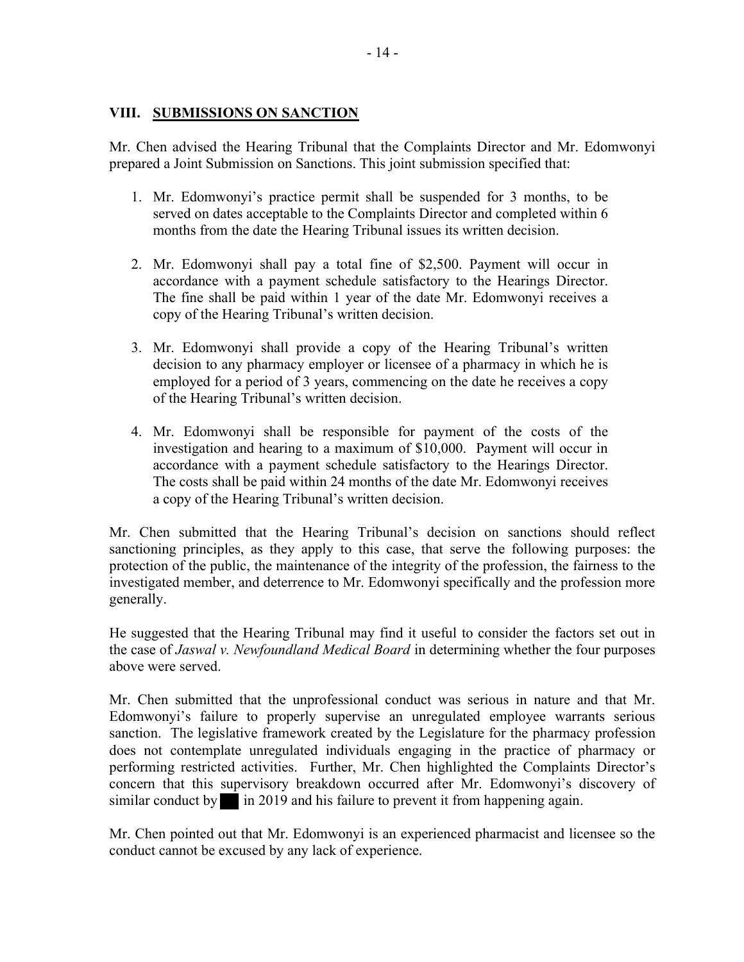#### VIII. SUBMISSIONS ON SANCTION

Mr. Chen advised the Hearing Tribunal that the Complaints Director and Mr. Edomwonyi prepared a Joint Submission on Sanctions. This joint submission specified that:

- 1. Mr. Edomwonyi's practice permit shall be suspended for 3 months, to be served on dates acceptable to the Complaints Director and completed within 6 months from the date the Hearing Tribunal issues its written decision.
- 2. Mr. Edomwonyi shall pay a total fine of \$2,500. Payment will occur in accordance with a payment schedule satisfactory to the Hearings Director. The fine shall be paid within 1 year of the date Mr. Edomwonyi receives a copy of the Hearing Tribunal's written decision.
- 3. Mr. Edomwonyi shall provide a copy of the Hearing Tribunal's written decision to any pharmacy employer or licensee of a pharmacy in which he is employed for a period of 3 years, commencing on the date he receives a copy of the Hearing Tribunal's written decision.
- 4. Mr. Edomwonyi shall be responsible for payment of the costs of the investigation and hearing to a maximum of \$10,000. Payment will occur in accordance with a payment schedule satisfactory to the Hearings Director. The costs shall be paid within 24 months of the date Mr. Edomwonyi receives a copy of the Hearing Tribunal's written decision.

Mr. Chen submitted that the Hearing Tribunal's decision on sanctions should reflect sanctioning principles, as they apply to this case, that serve the following purposes: the protection of the public, the maintenance of the integrity of the profession, the fairness to the investigated member, and deterrence to Mr. Edomwonyi specifically and the profession more generally.

He suggested that the Hearing Tribunal may find it useful to consider the factors set out in the case of *Jaswal v. Newfoundland Medical Board* in determining whether the four purposes above were served.

Mr. Chen submitted that the unprofessional conduct was serious in nature and that Mr. Edomwonyi's failure to properly supervise an unregulated employee warrants serious sanction. The legislative framework created by the Legislature for the pharmacy profession does not contemplate unregulated individuals engaging in the practice of pharmacy or performing restricted activities. Further, Mr. Chen highlighted the Complaints Director's concern that this supervisory breakdown occurred after Mr. Edomwonyi's discovery of similar conduct by in 2019 and his failure to prevent it from happening again.

Mr. Chen pointed out that Mr. Edomwonyi is an experienced pharmacist and licensee so the conduct cannot be excused by any lack of experience.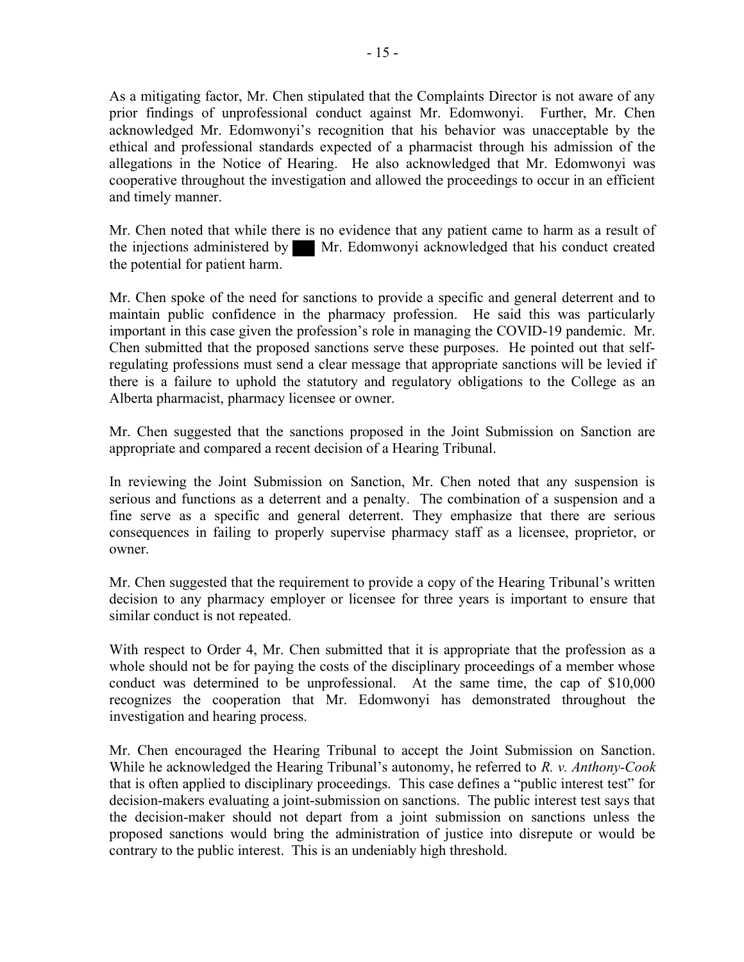As a mitigating factor, Mr. Chen stipulated that the Complaints Director is not aware of any prior findings of unprofessional conduct against Mr. Edomwonyi. Further, Mr. Chen acknowledged Mr. Edomwonyi's recognition that his behavior was unacceptable by the ethical and professional standards expected of a pharmacist through his admission of the allegations in the Notice of Hearing. He also acknowledged that Mr. Edomwonyi was cooperative throughout the investigation and allowed the proceedings to occur in an efficient and timely manner.

Mr. Chen noted that while there is no evidence that any patient came to harm as a result of the injections administered by Mr. Edomwonyi acknowledged that his conduct created the potential for patient harm.

Mr. Chen spoke of the need for sanctions to provide a specific and general deterrent and to maintain public confidence in the pharmacy profession. He said this was particularly important in this case given the profession's role in managing the COVID-19 pandemic. Mr. Chen submitted that the proposed sanctions serve these purposes. He pointed out that selfregulating professions must send a clear message that appropriate sanctions will be levied if there is a failure to uphold the statutory and regulatory obligations to the College as an Alberta pharmacist, pharmacy licensee or owner.

Mr. Chen suggested that the sanctions proposed in the Joint Submission on Sanction are appropriate and compared a recent decision of a Hearing Tribunal.

In reviewing the Joint Submission on Sanction, Mr. Chen noted that any suspension is serious and functions as a deterrent and a penalty. The combination of a suspension and a fine serve as a specific and general deterrent. They emphasize that there are serious consequences in failing to properly supervise pharmacy staff as a licensee, proprietor, or owner.

Mr. Chen suggested that the requirement to provide a copy of the Hearing Tribunal's written decision to any pharmacy employer or licensee for three years is important to ensure that similar conduct is not repeated.

With respect to Order 4, Mr. Chen submitted that it is appropriate that the profession as a whole should not be for paying the costs of the disciplinary proceedings of a member whose conduct was determined to be unprofessional. At the same time, the cap of \$10,000 recognizes the cooperation that Mr. Edomwonyi has demonstrated throughout the investigation and hearing process.

Mr. Chen encouraged the Hearing Tribunal to accept the Joint Submission on Sanction. While he acknowledged the Hearing Tribunal's autonomy, he referred to  $R$ .  $v$ . Anthony-Cook that is often applied to disciplinary proceedings. This case defines a "public interest test" for decision-makers evaluating a joint-submission on sanctions. The public interest test says that the decision-maker should not depart from a joint submission on sanctions unless the proposed sanctions would bring the administration of justice into disrepute or would be contrary to the public interest. This is an undeniably high threshold.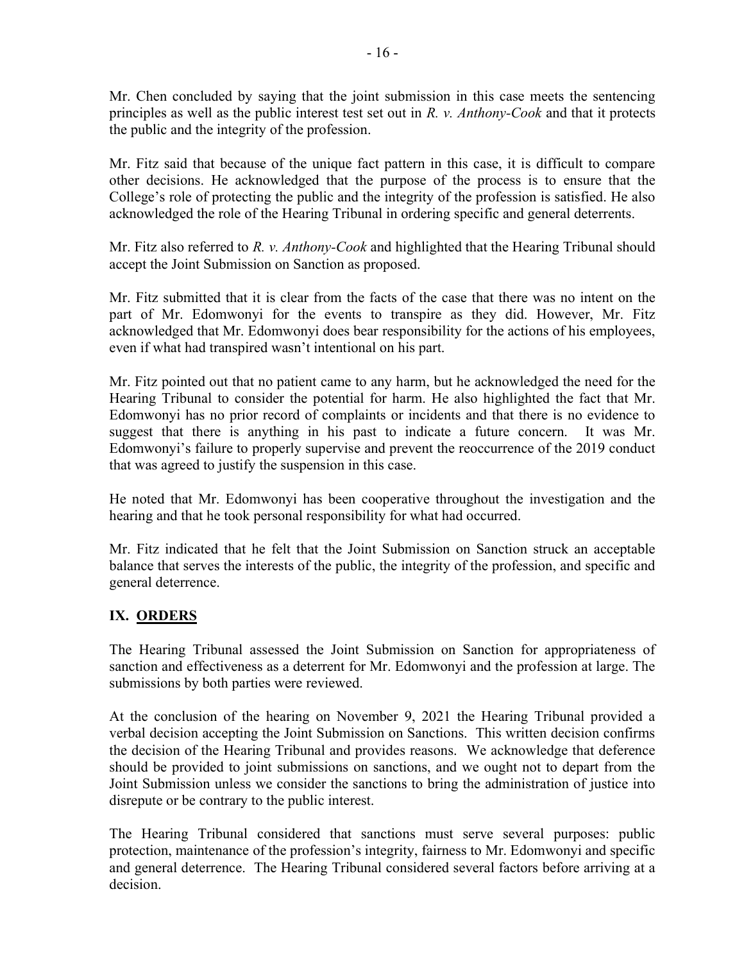Mr. Chen concluded by saying that the joint submission in this case meets the sentencing principles as well as the public interest test set out in  $R$ .  $\nu$ . Anthony-Cook and that it protects the public and the integrity of the profession.

Mr. Fitz said that because of the unique fact pattern in this case, it is difficult to compare other decisions. He acknowledged that the purpose of the process is to ensure that the College's role of protecting the public and the integrity of the profession is satisfied. He also acknowledged the role of the Hearing Tribunal in ordering specific and general deterrents.

Mr. Fitz also referred to R. v. Anthony-Cook and highlighted that the Hearing Tribunal should accept the Joint Submission on Sanction as proposed.

Mr. Fitz submitted that it is clear from the facts of the case that there was no intent on the part of Mr. Edomwonyi for the events to transpire as they did. However, Mr. Fitz acknowledged that Mr. Edomwonyi does bear responsibility for the actions of his employees, even if what had transpired wasn't intentional on his part.

Mr. Fitz pointed out that no patient came to any harm, but he acknowledged the need for the Hearing Tribunal to consider the potential for harm. He also highlighted the fact that Mr. Edomwonyi has no prior record of complaints or incidents and that there is no evidence to suggest that there is anything in his past to indicate a future concern. It was Mr. Edomwonyi's failure to properly supervise and prevent the reoccurrence of the 2019 conduct that was agreed to justify the suspension in this case.

He noted that Mr. Edomwonyi has been cooperative throughout the investigation and the hearing and that he took personal responsibility for what had occurred.

Mr. Fitz indicated that he felt that the Joint Submission on Sanction struck an acceptable balance that serves the interests of the public, the integrity of the profession, and specific and general deterrence.

#### IX. ORDERS

The Hearing Tribunal assessed the Joint Submission on Sanction for appropriateness of sanction and effectiveness as a deterrent for Mr. Edomwonyi and the profession at large. The submissions by both parties were reviewed.

At the conclusion of the hearing on November 9, 2021 the Hearing Tribunal provided a verbal decision accepting the Joint Submission on Sanctions. This written decision confirms the decision of the Hearing Tribunal and provides reasons. We acknowledge that deference should be provided to joint submissions on sanctions, and we ought not to depart from the Joint Submission unless we consider the sanctions to bring the administration of justice into disrepute or be contrary to the public interest.

The Hearing Tribunal considered that sanctions must serve several purposes: public protection, maintenance of the profession's integrity, fairness to Mr. Edomwonyi and specific and general deterrence. The Hearing Tribunal considered several factors before arriving at a decision.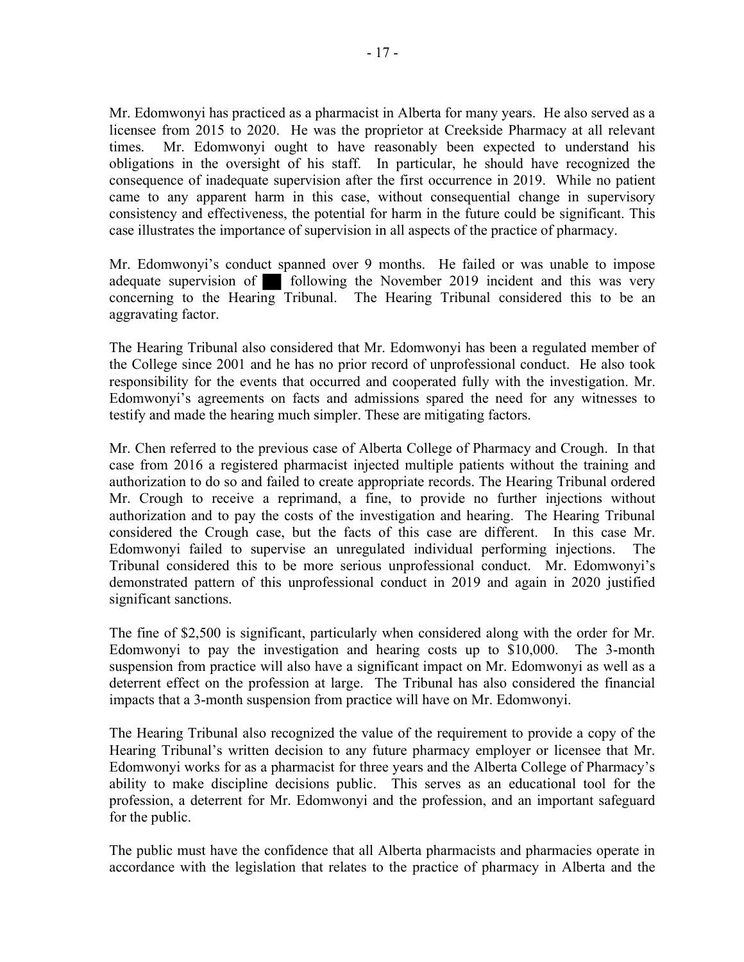Mr. Edomwonyi has practiced as a pharmacist in Alberta for many years. He also served as a licensee from 2015 to 2020. He was the proprietor at Creekside Pharmacy at all relevant times. Mr. Edomwonyi ought to have reasonably been expected to understand his obligations in the oversight of his staff. In particular, he should have recognized the consequence of inadequate supervision after the first occurrence in 2019. While no patient came to any apparent harm in this case, without consequential change in supervisory consistency and effectiveness, the potential for harm in the future could be significant. This case illustrates the importance of supervision in all aspects of the practice of pharmacy.

Mr. Edomwonyi's conduct spanned over 9 months. He failed or was unable to impose adequate supervision of  $\blacksquare$  following the November 2019 incident and this was very concerning to the Hearing Tribunal. The Hearing Tribunal considered this to be an aggravating factor.

The Hearing Tribunal also considered that Mr. Edomwonyi has been a regulated member of the College since 2001 and he has no prior record of unprofessional conduct. He also took responsibility for the events that occurred and cooperated fully with the investigation. Mr. Edomwonyi's agreements on facts and admissions spared the need for any witnesses to testify and made the hearing much simpler. These are mitigating factors.

Mr. Chen referred to the previous case of Alberta College of Pharmacy and Crough. In that case from 2016 a registered pharmacist injected multiple patients without the training and authorization to do so and failed to create appropriate records. The Hearing Tribunal ordered Mr. Crough to receive a reprimand, a fine, to provide no further injections without authorization and to pay the costs of the investigation and hearing. The Hearing Tribunal considered the Crough case, but the facts of this case are different. In this case Mr. Edomwonyi failed to supervise an unregulated individual performing injections. The Tribunal considered this to be more serious unprofessional conduct. Mr. Edomwonyi's demonstrated pattern of this unprofessional conduct in 2019 and again in 2020 justified significant sanctions.

The fine of \$2,500 is significant, particularly when considered along with the order for Mr. Edomwonyi to pay the investigation and hearing costs up to \$10,000. The 3-month suspension from practice will also have a significant impact on Mr. Edomwonyi as well as a deterrent effect on the profession at large. The Tribunal has also considered the financial impacts that a 3-month suspension from practice will have on Mr. Edomwonyi.

The Hearing Tribunal also recognized the value of the requirement to provide a copy of the Hearing Tribunal's written decision to any future pharmacy employer or licensee that Mr. Edomwonyi works for as a pharmacist for three years and the Alberta College of Pharmacy's ability to make discipline decisions public. This serves as an educational tool for the profession, a deterrent for Mr. Edomwonyi and the profession, and an important safeguard for the public.

The public must have the confidence that all Alberta pharmacists and pharmacies operate in accordance with the legislation that relates to the practice of pharmacy in Alberta and the